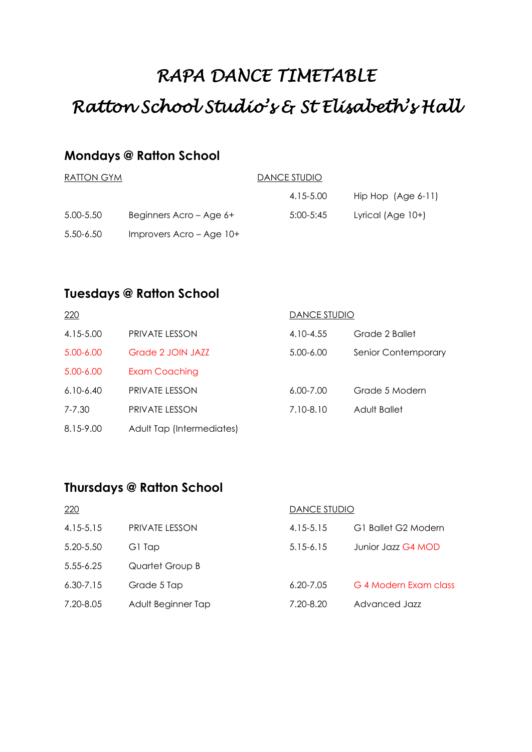# *RAPA DANCE TIMETABLE Ratton School Studio's & St Elisabeth's Hall*

## **Mondays @ Ratton School**

| RATION GYM |                             | DANCE STUDIO |                      |  |
|------------|-----------------------------|--------------|----------------------|--|
|            |                             | 4.15-5.00    | Hip Hop $(Age 6-11)$ |  |
| 5.00-5.50  | Beginners Acro - Age 6+     | 5:00-5:45    | Lyrical (Age $10+$ ) |  |
| 5.50-6.50  | Improvers $Accro - Age 10+$ |              |                      |  |

## **Tuesdays @ Ratton School**

| 220           |                           | DANCE STUDIO  |                     |
|---------------|---------------------------|---------------|---------------------|
| 4.15-5.00     | <b>PRIVATE LESSON</b>     | 4.10-4.55     | Grade 2 Ballet      |
| $5.00 - 6.00$ | Grade 2 JOIN JAZZ         | $5.00 - 6.00$ | Senior Contemporary |
| $5.00 - 6.00$ | Exam Coaching             |               |                     |
| $6.10 - 6.40$ | <b>PRIVATE LESSON</b>     | $6.00 - 7.00$ | Grade 5 Modern      |
| 7-7.30        | <b>PRIVATE LESSON</b>     | 7.10-8.10     | Adult Ballet        |
| 8.15-9.00     | Adult Tap (Intermediates) |               |                     |

### **Thursdays @ Ratton School**

| 220           |                       | DANCE STUDIO  |                       |
|---------------|-----------------------|---------------|-----------------------|
| 4.15-5.15     | <b>PRIVATE LESSON</b> | $4.15 - 5.15$ | G1 Ballet G2 Modern   |
| 5.20-5.50     | G1 Tap                | $5.15 - 6.15$ | Junior Jazz G4 MOD    |
| $5.55 - 6.25$ | Quartet Group B       |               |                       |
| $6.30 - 7.15$ | Grade 5 Tap           | $6.20 - 7.05$ | G 4 Modern Exam class |
| 7.20-8.05     | Adult Beginner Tap    | 7.20-8.20     | Advanced Jazz         |